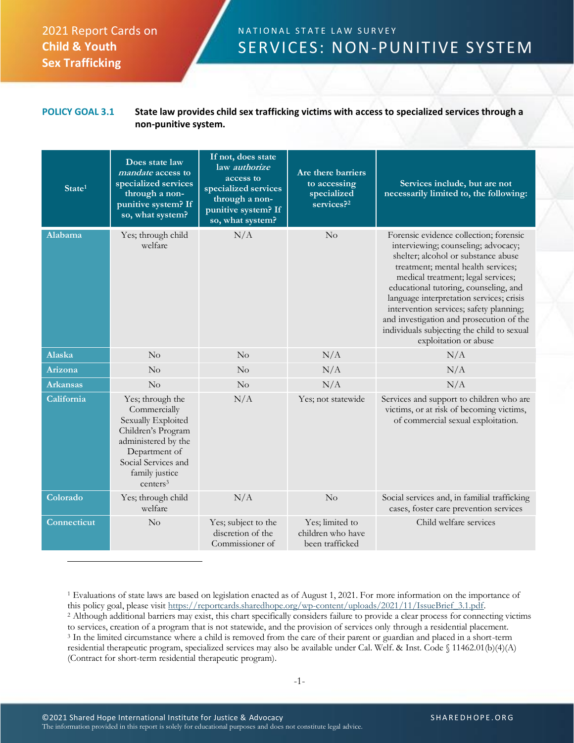## 2021 Report Cards on **Child & Youth Sex Trafficking**

## N A T I O N A L STATE LAW SURVEY SERVICES: NON-PUNITIVE SYSTEM

## **POLICY GOAL 3.1 State law provides child sex trafficking victims with access to specialized services through a non-punitive system.**

| State <sup>1</sup> | Does state law<br><i>mandate</i> access to<br>specialized services<br>through a non-<br>punitive system? If<br>so, what system?                                                       | If not, does state<br>law authorize<br>access to<br>specialized services<br>through a non-<br>punitive system? If<br>so, what system? | Are there barriers<br>to accessing<br>specialized<br>$\overline{\text{services}^2}$ | Services include, but are not<br>necessarily limited to, the following:                                                                                                                                                                                                                                                                                                                                                                             |
|--------------------|---------------------------------------------------------------------------------------------------------------------------------------------------------------------------------------|---------------------------------------------------------------------------------------------------------------------------------------|-------------------------------------------------------------------------------------|-----------------------------------------------------------------------------------------------------------------------------------------------------------------------------------------------------------------------------------------------------------------------------------------------------------------------------------------------------------------------------------------------------------------------------------------------------|
| Alabama            | Yes; through child<br>welfare                                                                                                                                                         | N/A                                                                                                                                   | No                                                                                  | Forensic evidence collection; forensic<br>interviewing; counseling; advocacy;<br>shelter; alcohol or substance abuse<br>treatment; mental health services;<br>medical treatment; legal services;<br>educational tutoring, counseling, and<br>language interpretation services; crisis<br>intervention services; safety planning;<br>and investigation and prosecution of the<br>individuals subjecting the child to sexual<br>exploitation or abuse |
| Alaska             | No                                                                                                                                                                                    | No                                                                                                                                    | N/A                                                                                 | N/A                                                                                                                                                                                                                                                                                                                                                                                                                                                 |
| Arizona            | No                                                                                                                                                                                    | $\rm No$                                                                                                                              | N/A                                                                                 | N/A                                                                                                                                                                                                                                                                                                                                                                                                                                                 |
| <b>Arkansas</b>    | No                                                                                                                                                                                    | No                                                                                                                                    | N/A                                                                                 | N/A                                                                                                                                                                                                                                                                                                                                                                                                                                                 |
| California         | Yes; through the<br>Commercially<br>Sexually Exploited<br>Children's Program<br>administered by the<br>Department of<br>Social Services and<br>family justice<br>centers <sup>3</sup> | N/A                                                                                                                                   | Yes; not statewide                                                                  | Services and support to children who are<br>victims, or at risk of becoming victims,<br>of commercial sexual exploitation.                                                                                                                                                                                                                                                                                                                          |
| Colorado           | Yes; through child<br>welfare                                                                                                                                                         | N/A                                                                                                                                   | No                                                                                  | Social services and, in familial trafficking<br>cases, foster care prevention services                                                                                                                                                                                                                                                                                                                                                              |
| <b>Connecticut</b> | No                                                                                                                                                                                    | Yes; subject to the<br>discretion of the<br>Commissioner of                                                                           | Yes; limited to<br>children who have<br>been trafficked                             | Child welfare services                                                                                                                                                                                                                                                                                                                                                                                                                              |

<sup>1</sup> Evaluations of state laws are based on legislation enacted as of August 1, 2021. For more information on the importance of this policy goal, please visit [https://reportcards.sharedhope.org/wp-content/uploads/2021/11/IssueBrief\\_3.1.pdf.](https://reportcards.sharedhope.org/wp-content/uploads/2021/11/IssueBrief_3.1.pdf) <sup>2</sup> Although additional barriers may exist, this chart specifically considers failure to provide a clear process for connecting victims to services, creation of a program that is not statewide, and the provision of services only through a residential placement. <sup>3</sup> In the limited circumstance where a child is removed from the care of their parent or guardian and placed in a short-term residential therapeutic program, specialized services may also be available under Cal. Welf. & Inst. Code § 11462.01(b)(4)(A) (Contract for short-term residential therapeutic program).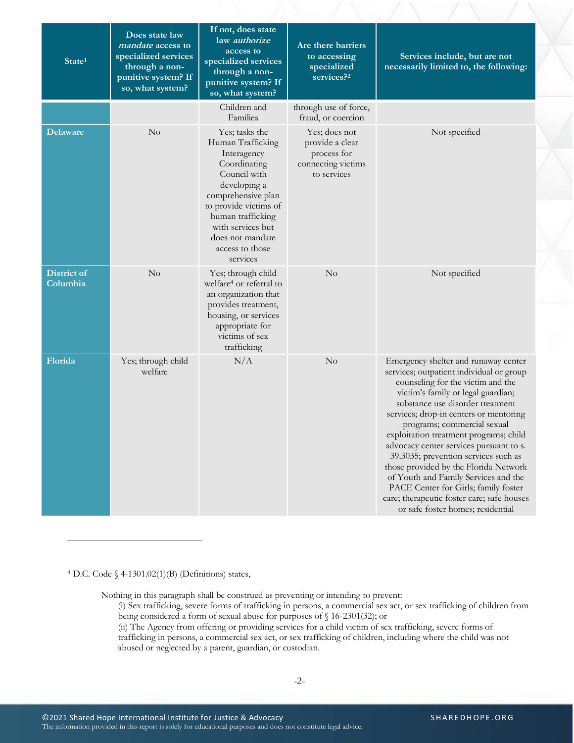| State <sup>1</sup>      | Does state law<br>mandate access to<br>specialized services<br>through a non-<br>punitive system? If<br>so, what system? | If not, does state<br>law authorize<br>access to<br>specialized services<br>through a non-<br>punitive system? If<br>so, what system?                                                                                                          | Are there barriers<br>to accessing<br>specialized<br>services? <sup>2</sup>          | Services include, but are not<br>necessarily limited to, the following:                                                                                                                                                                                                                                                                                                                                                                                                                                                                                                                                           |
|-------------------------|--------------------------------------------------------------------------------------------------------------------------|------------------------------------------------------------------------------------------------------------------------------------------------------------------------------------------------------------------------------------------------|--------------------------------------------------------------------------------------|-------------------------------------------------------------------------------------------------------------------------------------------------------------------------------------------------------------------------------------------------------------------------------------------------------------------------------------------------------------------------------------------------------------------------------------------------------------------------------------------------------------------------------------------------------------------------------------------------------------------|
|                         |                                                                                                                          | Children and<br>Families                                                                                                                                                                                                                       | through use of force,<br>fraud, or coercion                                          |                                                                                                                                                                                                                                                                                                                                                                                                                                                                                                                                                                                                                   |
| <b>Delaware</b>         | No                                                                                                                       | Yes; tasks the<br>Human Trafficking<br>Interagency<br>Coordinating<br>Council with<br>developing a<br>comprehensive plan<br>to provide victims of<br>human trafficking<br>with services but<br>does not mandate<br>access to those<br>services | Yes; does not<br>provide a clear<br>process for<br>connecting victims<br>to services | Not specified                                                                                                                                                                                                                                                                                                                                                                                                                                                                                                                                                                                                     |
| District of<br>Columbia | No                                                                                                                       | Yes; through child<br>welfare <sup>4</sup> or referral to<br>an organization that<br>provides treatment,<br>housing, or services<br>appropriate for<br>victims of sex<br>trafficking                                                           | No                                                                                   | Not specified                                                                                                                                                                                                                                                                                                                                                                                                                                                                                                                                                                                                     |
| Florida                 | Yes; through child<br>welfare                                                                                            | N/A                                                                                                                                                                                                                                            | No                                                                                   | Emergency shelter and runaway center<br>services; outpatient individual or group<br>counseling for the victim and the<br>victim's family or legal guardian;<br>substance use disorder treatment<br>services; drop-in centers or mentoring<br>programs; commercial sexual<br>exploitation treatment programs; child<br>advocacy center services pursuant to s.<br>39.3035; prevention services such as<br>those provided by the Florida Network<br>of Youth and Family Services and the<br>PACE Center for Girls; family foster<br>care; therapeutic foster care; safe houses<br>or safe foster homes; residential |

 $4$  D.C. Code  $\Diamond$  4-1301.02(1)(B) (Definitions) states,

Nothing in this paragraph shall be construed as preventing or intending to prevent:

(i) Sex trafficking, severe forms of trafficking in persons, a commercial sex act, or sex trafficking of children from being considered a form of sexual abuse for purposes of § 16-2301(32); or

(ii) The Agency from offering or providing services for a child victim of sex trafficking, severe forms of trafficking in persons, a commercial sex act, or sex trafficking of children, including where the child was not abused or neglected by a parent, guardian, or custodian.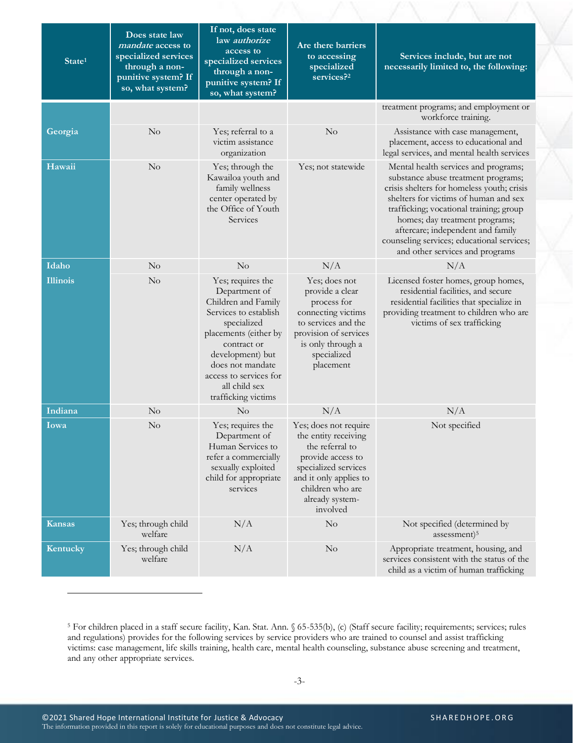| State <sup>1</sup> | Does state law<br>mandate access to<br>specialized services<br>through a non-<br>punitive system? If<br>so, what system? | If not, does state<br>law <i>authorize</i><br>access to<br>specialized services<br>through a non-<br>punitive system? If<br>so, what system?                                                                                                        | Are there barriers<br>to accessing<br>specialized<br>services? <sup>2</sup>                                                                                                                | Services include, but are not<br>necessarily limited to, the following:                                                                                                                                                                                                                                                                                               |
|--------------------|--------------------------------------------------------------------------------------------------------------------------|-----------------------------------------------------------------------------------------------------------------------------------------------------------------------------------------------------------------------------------------------------|--------------------------------------------------------------------------------------------------------------------------------------------------------------------------------------------|-----------------------------------------------------------------------------------------------------------------------------------------------------------------------------------------------------------------------------------------------------------------------------------------------------------------------------------------------------------------------|
|                    |                                                                                                                          |                                                                                                                                                                                                                                                     |                                                                                                                                                                                            | treatment programs; and employment or<br>workforce training.                                                                                                                                                                                                                                                                                                          |
| Georgia            | No                                                                                                                       | Yes; referral to a<br>victim assistance<br>organization                                                                                                                                                                                             | $\rm No$                                                                                                                                                                                   | Assistance with case management,<br>placement, access to educational and<br>legal services, and mental health services                                                                                                                                                                                                                                                |
| Hawaii             | No                                                                                                                       | Yes; through the<br>Kawailoa youth and<br>family wellness<br>center operated by<br>the Office of Youth<br>Services                                                                                                                                  | Yes; not statewide                                                                                                                                                                         | Mental health services and programs;<br>substance abuse treatment programs;<br>crisis shelters for homeless youth; crisis<br>shelters for victims of human and sex<br>trafficking; vocational training; group<br>homes; day treatment programs;<br>aftercare; independent and family<br>counseling services; educational services;<br>and other services and programs |
| Idaho              | No                                                                                                                       | $\rm No$                                                                                                                                                                                                                                            | N/A                                                                                                                                                                                        | N/A                                                                                                                                                                                                                                                                                                                                                                   |
| <b>Illinois</b>    | No                                                                                                                       | Yes; requires the<br>Department of<br>Children and Family<br>Services to establish<br>specialized<br>placements (either by<br>contract or<br>development) but<br>does not mandate<br>access to services for<br>all child sex<br>trafficking victims | Yes; does not<br>provide a clear<br>process for<br>connecting victims<br>to services and the<br>provision of services<br>is only through a<br>specialized<br>placement                     | Licensed foster homes, group homes,<br>residential facilities, and secure<br>residential facilities that specialize in<br>providing treatment to children who are<br>victims of sex trafficking                                                                                                                                                                       |
| Indiana            | No                                                                                                                       | $\rm No$                                                                                                                                                                                                                                            | N/A                                                                                                                                                                                        | N/A                                                                                                                                                                                                                                                                                                                                                                   |
| Iowa               | No                                                                                                                       | Yes; requires the<br>Department of<br>Human Services to<br>refer a commercially<br>sexually exploited<br>child for appropriate<br>services                                                                                                          | Yes; does not require<br>the entity receiving<br>the referral to<br>provide access to<br>specialized services<br>and it only applies to<br>children who are<br>already system-<br>involved | Not specified                                                                                                                                                                                                                                                                                                                                                         |
| Kansas             | Yes; through child<br>welfare                                                                                            | N/A                                                                                                                                                                                                                                                 | No                                                                                                                                                                                         | Not specified (determined by<br>assessment) <sup>5</sup>                                                                                                                                                                                                                                                                                                              |
| Kentucky           | Yes; through child<br>welfare                                                                                            | N/A                                                                                                                                                                                                                                                 | No                                                                                                                                                                                         | Appropriate treatment, housing, and<br>services consistent with the status of the<br>child as a victim of human trafficking                                                                                                                                                                                                                                           |

<sup>5</sup> For children placed in a staff secure facility, Kan. Stat. Ann. § 65-535(b), (c) (Staff secure facility; requirements; services; rules and regulations) provides for the following services by service providers who are trained to counsel and assist trafficking victims: case management, life skills training, health care, mental health counseling, substance abuse screening and treatment, and any other appropriate services.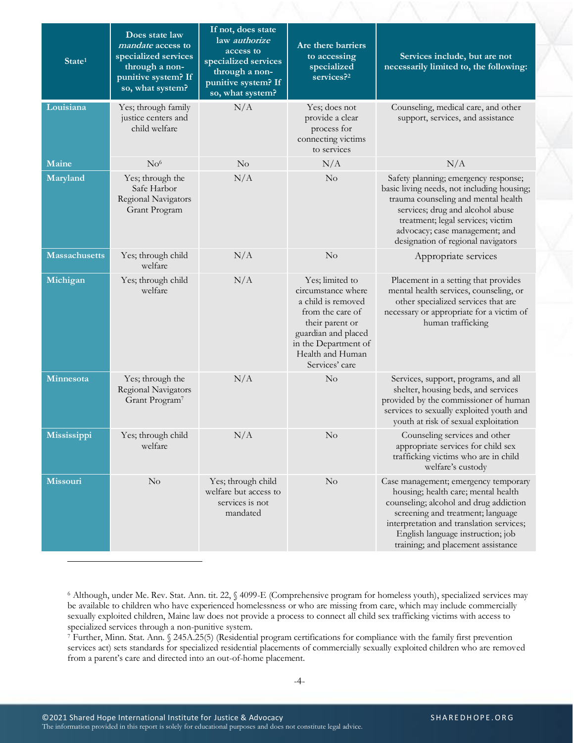| State <sup>1</sup>   | Does state law<br><i>mandate</i> access to<br>specialized services<br>through a non-<br>punitive system? If<br>so, what system? | If not, does state<br>law authorize<br>access to<br>specialized services<br>through a non-<br>punitive system? If<br>so, what system? | Are there barriers<br>to accessing<br>specialized<br>services? <sup>2</sup>                                                                                                             | Services include, but are not<br>necessarily limited to, the following:                                                                                                                                                                                                           |
|----------------------|---------------------------------------------------------------------------------------------------------------------------------|---------------------------------------------------------------------------------------------------------------------------------------|-----------------------------------------------------------------------------------------------------------------------------------------------------------------------------------------|-----------------------------------------------------------------------------------------------------------------------------------------------------------------------------------------------------------------------------------------------------------------------------------|
| Louisiana            | Yes; through family<br>justice centers and<br>child welfare                                                                     | N/A                                                                                                                                   | Yes; does not<br>provide a clear<br>process for<br>connecting victims<br>to services                                                                                                    | Counseling, medical care, and other<br>support, services, and assistance                                                                                                                                                                                                          |
| Maine                | No <sup>6</sup>                                                                                                                 | $\rm No$                                                                                                                              | N/A                                                                                                                                                                                     | N/A                                                                                                                                                                                                                                                                               |
| Maryland             | Yes; through the<br>Safe Harbor<br>Regional Navigators<br>Grant Program                                                         | N/A                                                                                                                                   | $\rm No$                                                                                                                                                                                | Safety planning; emergency response;<br>basic living needs, not including housing;<br>trauma counseling and mental health<br>services; drug and alcohol abuse<br>treatment; legal services; victim<br>advocacy; case management; and<br>designation of regional navigators        |
| <b>Massachusetts</b> | Yes; through child<br>welfare                                                                                                   | N/A                                                                                                                                   | No                                                                                                                                                                                      | Appropriate services                                                                                                                                                                                                                                                              |
| Michigan             | Yes; through child<br>welfare                                                                                                   | N/A                                                                                                                                   | Yes; limited to<br>circumstance where<br>a child is removed<br>from the care of<br>their parent or<br>guardian and placed<br>in the Department of<br>Health and Human<br>Services' care | Placement in a setting that provides<br>mental health services, counseling, or<br>other specialized services that are<br>necessary or appropriate for a victim of<br>human trafficking                                                                                            |
| Minnesota            | Yes; through the<br>Regional Navigators<br>Grant Program <sup>7</sup>                                                           | N/A                                                                                                                                   | No                                                                                                                                                                                      | Services, support, programs, and all<br>shelter, housing beds, and services<br>provided by the commissioner of human<br>services to sexually exploited youth and<br>youth at risk of sexual exploitation                                                                          |
| Mississippi          | Yes; through child<br>welfare                                                                                                   | N/A                                                                                                                                   | $\rm No$                                                                                                                                                                                | Counseling services and other<br>appropriate services for child sex<br>trafficking victims who are in child<br>welfare's custody                                                                                                                                                  |
| <b>Missouri</b>      | No                                                                                                                              | Yes; through child<br>welfare but access to<br>services is not<br>mandated                                                            | $\rm No$                                                                                                                                                                                | Case management; emergency temporary<br>housing; health care; mental health<br>counseling; alcohol and drug addiction<br>screening and treatment; language<br>interpretation and translation services;<br>English language instruction; job<br>training; and placement assistance |

<sup>7</sup> Further, Minn. Stat. Ann. § 245A.25(5) (Residential program certifications for compliance with the family first prevention services act) sets standards for specialized residential placements of commercially sexually exploited children who are removed from a parent's care and directed into an out-of-home placement.

<sup>6</sup> Although, under Me. Rev. Stat. Ann. tit. 22, § 4099-E (Comprehensive program for homeless youth), specialized services may be available to children who have experienced homelessness or who are missing from care, which may include commercially sexually exploited children, Maine law does not provide a process to connect all child sex trafficking victims with access to specialized services through a non-punitive system.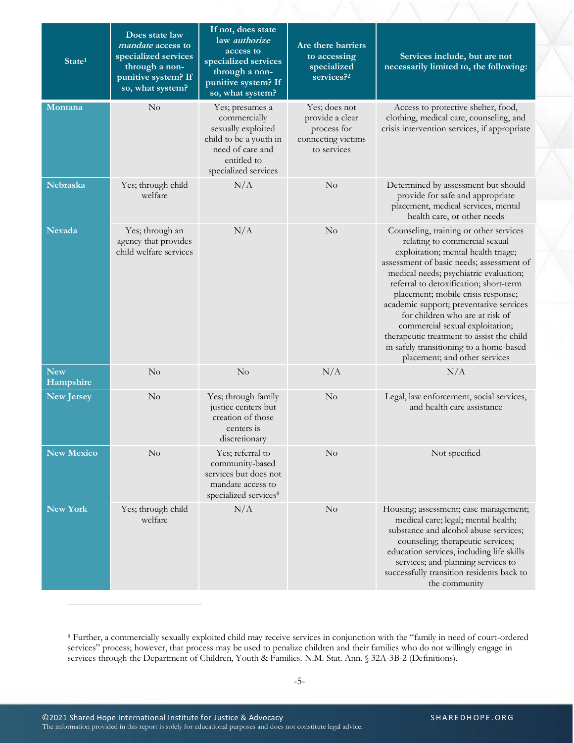| State <sup>1</sup>      | Does state law<br><i>mandate</i> access to<br>specialized services<br>through a non-<br>punitive system? If<br>so, what system? | If not, does state<br>law authorize<br>access to<br>specialized services<br>through a non-<br>punitive system? If<br>so, what system?      | Are there barriers<br>to accessing<br>specialized<br>services? <sup>2</sup>          | Services include, but are not<br>necessarily limited to, the following:                                                                                                                                                                                                                                                                                                                                                                                                                                                        |
|-------------------------|---------------------------------------------------------------------------------------------------------------------------------|--------------------------------------------------------------------------------------------------------------------------------------------|--------------------------------------------------------------------------------------|--------------------------------------------------------------------------------------------------------------------------------------------------------------------------------------------------------------------------------------------------------------------------------------------------------------------------------------------------------------------------------------------------------------------------------------------------------------------------------------------------------------------------------|
| Montana                 | No                                                                                                                              | Yes; presumes a<br>commercially<br>sexually exploited<br>child to be a youth in<br>need of care and<br>entitled to<br>specialized services | Yes; does not<br>provide a clear<br>process for<br>connecting victims<br>to services | Access to protective shelter, food,<br>clothing, medical care, counseling, and<br>crisis intervention services, if appropriate                                                                                                                                                                                                                                                                                                                                                                                                 |
| Nebraska                | Yes; through child<br>welfare                                                                                                   | N/A                                                                                                                                        | No                                                                                   | Determined by assessment but should<br>provide for safe and appropriate<br>placement, medical services, mental<br>health care, or other needs                                                                                                                                                                                                                                                                                                                                                                                  |
| <b>Nevada</b>           | Yes; through an<br>agency that provides<br>child welfare services                                                               | N/A                                                                                                                                        | $\rm No$                                                                             | Counseling, training or other services<br>relating to commercial sexual<br>exploitation; mental health triage;<br>assessment of basic needs; assessment of<br>medical needs; psychiatric evaluation;<br>referral to detoxification; short-term<br>placement; mobile crisis response;<br>academic support; preventative services<br>for children who are at risk of<br>commercial sexual exploitation;<br>therapeutic treatment to assist the child<br>in safely transitioning to a home-based<br>placement; and other services |
| <b>New</b><br>Hampshire | $\rm No$                                                                                                                        | $\rm No$                                                                                                                                   | N/A                                                                                  | N/A                                                                                                                                                                                                                                                                                                                                                                                                                                                                                                                            |
| <b>New Jersey</b>       | $\rm No$                                                                                                                        | Yes; through family<br>justice centers but<br>creation of those<br>centers is<br>discretionary                                             | $\rm No$                                                                             | Legal, law enforcement, social services,<br>and health care assistance                                                                                                                                                                                                                                                                                                                                                                                                                                                         |
| <b>New Mexico</b>       | No                                                                                                                              | Yes; referral to<br>community-based<br>services but does not<br>mandate access to<br>specialized services <sup>8</sup>                     | No                                                                                   | Not specified                                                                                                                                                                                                                                                                                                                                                                                                                                                                                                                  |
| New York                | Yes; through child<br>welfare                                                                                                   | N/A                                                                                                                                        | No                                                                                   | Housing; assessment; case management;<br>medical care; legal; mental health;<br>substance and alcohol abuse services;<br>counseling; therapeutic services;<br>education services, including life skills<br>services; and planning services to<br>successfully transition residents back to<br>the community                                                                                                                                                                                                                    |

<sup>8</sup> Further, a commercially sexually exploited child may receive services in conjunction with the "family in need of court-ordered services" process; however, that process may be used to penalize children and their families who do not willingly engage in services through the Department of Children, Youth & Families. N.M. Stat. Ann. § 32A-3B-2 (Definitions).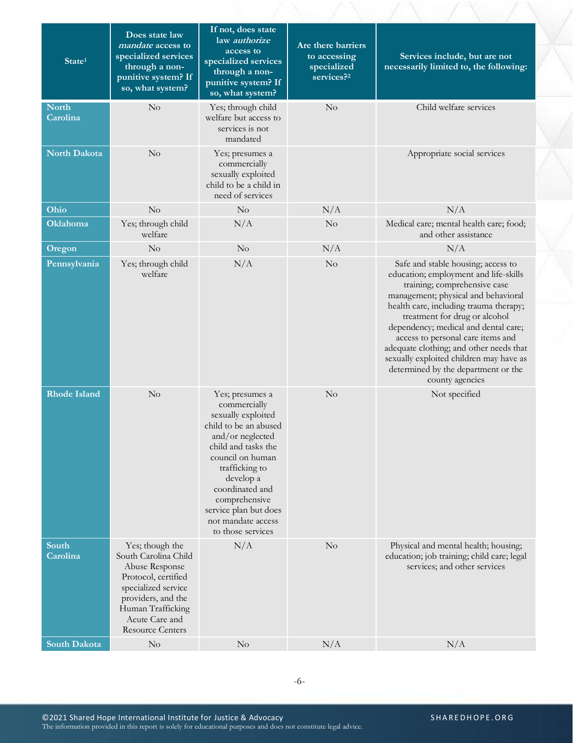| State <sup>1</sup>       | Does state law<br><i>mandate</i> access to<br>specialized services<br>through a non-<br>punitive system? If<br>so, what system?                                                                 | If not, does state<br>law authorize<br>access to<br>specialized services<br>through a non-<br>punitive system? If<br>so, what system?                                                                                                                                                | Are there barriers<br>to accessing<br>specialized<br>services? <sup>2</sup> | Services include, but are not<br>necessarily limited to, the following:                                                                                                                                                                                                                                                                                                                                                                                    |
|--------------------------|-------------------------------------------------------------------------------------------------------------------------------------------------------------------------------------------------|--------------------------------------------------------------------------------------------------------------------------------------------------------------------------------------------------------------------------------------------------------------------------------------|-----------------------------------------------------------------------------|------------------------------------------------------------------------------------------------------------------------------------------------------------------------------------------------------------------------------------------------------------------------------------------------------------------------------------------------------------------------------------------------------------------------------------------------------------|
| <b>North</b><br>Carolina | No                                                                                                                                                                                              | Yes; through child<br>welfare but access to<br>services is not<br>mandated                                                                                                                                                                                                           | No                                                                          | Child welfare services                                                                                                                                                                                                                                                                                                                                                                                                                                     |
| <b>North Dakota</b>      | No                                                                                                                                                                                              | Yes; presumes a<br>commercially<br>sexually exploited<br>child to be a child in<br>need of services                                                                                                                                                                                  |                                                                             | Appropriate social services                                                                                                                                                                                                                                                                                                                                                                                                                                |
| Ohio                     | No                                                                                                                                                                                              | $\rm No$                                                                                                                                                                                                                                                                             | N/A                                                                         | N/A                                                                                                                                                                                                                                                                                                                                                                                                                                                        |
| <b>Oklahoma</b>          | Yes; through child<br>welfare                                                                                                                                                                   | N/A                                                                                                                                                                                                                                                                                  | $\rm No$                                                                    | Medical care; mental health care; food;<br>and other assistance                                                                                                                                                                                                                                                                                                                                                                                            |
| Oregon                   | No                                                                                                                                                                                              | $\rm No$                                                                                                                                                                                                                                                                             | N/A                                                                         | N/A                                                                                                                                                                                                                                                                                                                                                                                                                                                        |
| Pennsylvania             | Yes; through child<br>welfare                                                                                                                                                                   | N/A                                                                                                                                                                                                                                                                                  | $\rm No$                                                                    | Safe and stable housing; access to<br>education; employment and life-skills<br>training; comprehensive case<br>management; physical and behavioral<br>health care, including trauma therapy;<br>treatment for drug or alcohol<br>dependency; medical and dental care;<br>access to personal care items and<br>adequate clothing; and other needs that<br>sexually exploited children may have as<br>determined by the department or the<br>county agencies |
| <b>Rhode Island</b>      | No                                                                                                                                                                                              | Yes; presumes a<br>commercially<br>sexually exploited<br>child to be an abused<br>and/or neglected<br>child and tasks the<br>council on human<br>trafficking to<br>develop a<br>coordinated and<br>comprehensive<br>service plan but does<br>not mandate access<br>to those services | No                                                                          | Not specified                                                                                                                                                                                                                                                                                                                                                                                                                                              |
| South<br>Carolina        | Yes; though the<br>South Carolina Child<br>Abuse Response<br>Protocol, certified<br>specialized service<br>providers, and the<br>Human Trafficking<br>Acute Care and<br><b>Resource Centers</b> | N/A                                                                                                                                                                                                                                                                                  | No                                                                          | Physical and mental health; housing;<br>education; job training; child care; legal<br>services; and other services                                                                                                                                                                                                                                                                                                                                         |
| <b>South Dakota</b>      | $\rm No$                                                                                                                                                                                        | $\rm No$                                                                                                                                                                                                                                                                             | N/A                                                                         | N/A                                                                                                                                                                                                                                                                                                                                                                                                                                                        |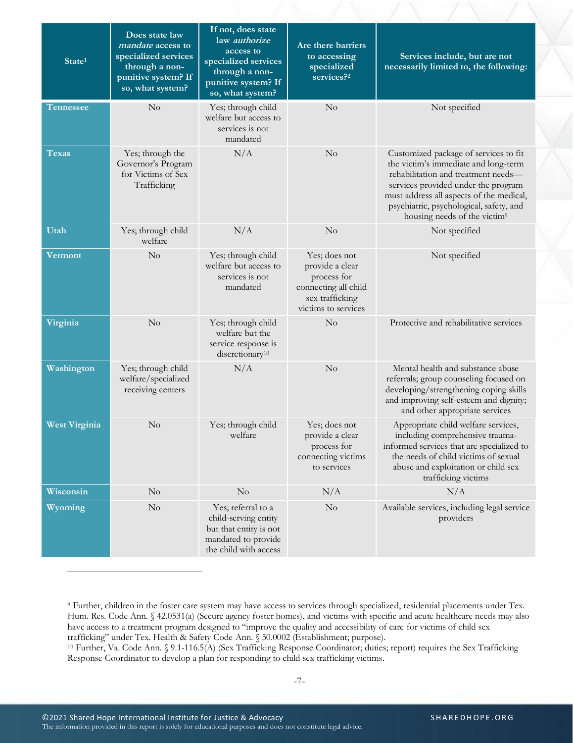| State <sup>1</sup>   | Does state law<br><i>mandate</i> access to<br>specialized services<br>through a non-<br>punitive system? If<br>so, what system? | If not, does state<br>law authorize<br>access to<br>specialized services<br>through a non-<br>punitive system? If<br>so, what system? | Are there barriers<br>to accessing<br>specialized<br>services? <sup>2</sup>                                       | Services include, but are not<br>necessarily limited to, the following:                                                                                                                                                                                                                        |
|----------------------|---------------------------------------------------------------------------------------------------------------------------------|---------------------------------------------------------------------------------------------------------------------------------------|-------------------------------------------------------------------------------------------------------------------|------------------------------------------------------------------------------------------------------------------------------------------------------------------------------------------------------------------------------------------------------------------------------------------------|
| Tennessee            | $\rm No$                                                                                                                        | Yes; through child<br>welfare but access to<br>services is not<br>mandated                                                            | No                                                                                                                | Not specified                                                                                                                                                                                                                                                                                  |
| Texas                | Yes; through the<br>Governor's Program<br>for Victims of Sex<br>Trafficking                                                     | N/A                                                                                                                                   | No                                                                                                                | Customized package of services to fit<br>the victim's immediate and long-term<br>rehabilitation and treatment needs-<br>services provided under the program<br>must address all aspects of the medical,<br>psychiatric, psychological, safety, and<br>housing needs of the victim <sup>9</sup> |
| Utah                 | Yes; through child<br>welfare                                                                                                   | N/A                                                                                                                                   | No                                                                                                                | Not specified                                                                                                                                                                                                                                                                                  |
| Vermont              | No                                                                                                                              | Yes; through child<br>welfare but access to<br>services is not<br>mandated                                                            | Yes; does not<br>provide a clear<br>process for<br>connecting all child<br>sex trafficking<br>victims to services | Not specified                                                                                                                                                                                                                                                                                  |
| Virginia             | No                                                                                                                              | Yes; through child<br>welfare but the<br>service response is<br>discretionary <sup>10</sup>                                           | No                                                                                                                | Protective and rehabilitative services                                                                                                                                                                                                                                                         |
| Washington           | Yes; through child<br>welfare/specialized<br>receiving centers                                                                  | N/A                                                                                                                                   | No                                                                                                                | Mental health and substance abuse<br>referrals; group counseling focused on<br>developing/strengthening coping skills<br>and improving self-esteem and dignity;<br>and other appropriate services                                                                                              |
| <b>West Virginia</b> | $\rm No$                                                                                                                        | Yes; through child<br>welfare                                                                                                         | Yes; does not<br>provide a clear<br>process for<br>connecting victims<br>to services                              | Appropriate child welfare services,<br>including comprehensive trauma-<br>informed services that are specialized to<br>the needs of child victims of sexual<br>abuse and exploitation or child sex<br>trafficking victims                                                                      |
| Wisconsin            | No                                                                                                                              | No                                                                                                                                    | N/A                                                                                                               | N/A                                                                                                                                                                                                                                                                                            |
| Wyoming              | $\rm No$                                                                                                                        | Yes; referral to a<br>child-serving entity<br>but that entity is not<br>mandated to provide<br>the child with access                  | No                                                                                                                | Available services, including legal service<br>providers                                                                                                                                                                                                                                       |

<sup>9</sup> Further, children in the foster care system may have access to services through specialized, residential placements under Tex. Hum. Res. Code Ann. § 42.0531(a) (Secure agency foster homes), and victims with specific and acute healthcare needs may also have access to a treatment program designed to "improve the quality and accessibility of care for victims of child sex trafficking" under Tex. Health & Safety Code Ann. § 50.0002 (Establishment; purpose).

<sup>10</sup> Further, Va. Code Ann. § 9.1-116.5(A) (Sex Trafficking Response Coordinator; duties; report) requires the Sex Trafficking Response Coordinator to develop a plan for responding to child sex trafficking victims.